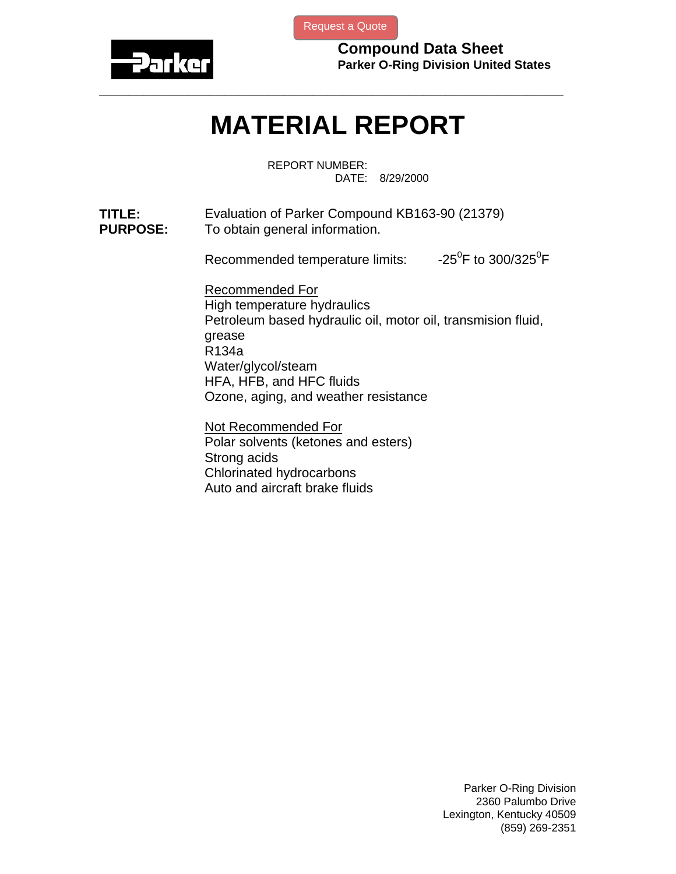

[Request a Quote](http://www.marcorubber.com/contact_quote.htm?material=Parker+KB163-90)

**Compound Data Sheet Parker O-Ring Division United States** 

## **MATERIAL REPORT**

**\_\_\_\_\_\_\_\_\_\_\_\_\_\_\_\_\_\_\_\_\_\_\_\_\_\_\_\_\_\_\_\_\_\_\_\_\_\_\_\_\_\_\_\_\_\_\_\_\_\_\_\_\_\_\_\_\_\_\_\_\_\_\_** 

REPORT NUMBER: DATE: 8/29/2000

**TITLE:** Evaluation of Parker Compound KB163-90 (21379) **PURPOSE:** To obtain general information.

> Recommended temperature limits: F to  $300/325^0$ F

Recommended For High temperature hydraulics Petroleum based hydraulic oil, motor oil, transmision fluid, grease R134a Water/glycol/steam HFA, HFB, and HFC fluids Ozone, aging, and weather resistance

Not Recommended For Polar solvents (ketones and esters) Strong acids Chlorinated hydrocarbons Auto and aircraft brake fluids

> Parker O-Ring Division 2360 Palumbo Drive Lexington, Kentucky 40509 (859) 269-2351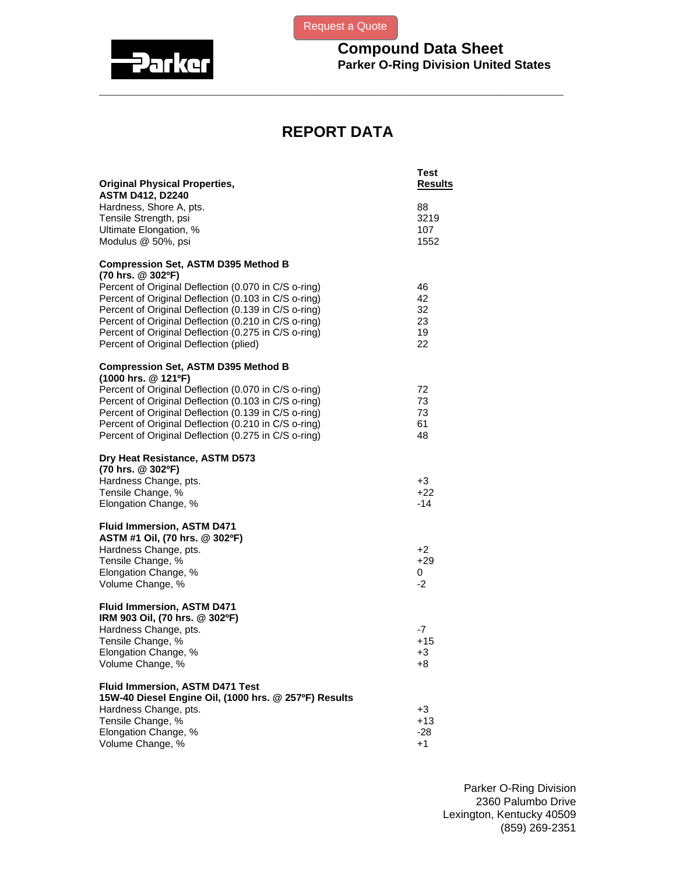



**Compound Data Sheet Parker O-Ring Division United States** 

## **REPORT DATA**

**\_\_\_\_\_\_\_\_\_\_\_\_\_\_\_\_\_\_\_\_\_\_\_\_\_\_\_\_\_\_\_\_\_\_\_\_\_\_\_\_\_\_\_\_\_\_\_\_\_\_\_\_\_\_\_\_\_\_\_\_\_\_\_** 

| <b>ASTM D412, D2240</b><br>Hardness, Shore A, pts.<br>88<br>Tensile Strength, psi<br>3219<br>Ultimate Elongation, %<br>107<br>Modulus @ 50%, psi<br>1552<br><b>Compression Set, ASTM D395 Method B</b><br>(70 hrs. @ 302ºF)<br>Percent of Original Deflection (0.070 in C/S o-ring)<br>46<br>Percent of Original Deflection (0.103 in C/S o-ring)<br>42<br>Percent of Original Deflection (0.139 in C/S o-ring)<br>32<br>Percent of Original Deflection (0.210 in C/S o-ring)<br>23<br>Percent of Original Deflection (0.275 in C/S o-ring)<br>19<br>Percent of Original Deflection (plied)<br>22<br><b>Compression Set, ASTM D395 Method B</b><br>(1000 hrs. @ 121ºF)<br>Percent of Original Deflection (0.070 in C/S o-ring)<br>72<br>Percent of Original Deflection (0.103 in C/S o-ring)<br>73<br>Percent of Original Deflection (0.139 in C/S o-ring)<br>73<br>Percent of Original Deflection (0.210 in C/S o-ring)<br>61<br>Percent of Original Deflection (0.275 in C/S o-ring)<br>48<br>Dry Heat Resistance, ASTM D573<br>(70 hrs. @ 302ºF)<br>Hardness Change, pts.<br>+3<br>Tensile Change, %<br>$+22$<br>$-14$<br>Elongation Change, %<br><b>Fluid Immersion, ASTM D471</b><br>ASTM #1 Oil, (70 hrs. @ 302ºF)<br>Hardness Change, pts.<br>$+2$<br>Tensile Change, %<br>$+29$<br>Elongation Change, %<br>0<br>Volume Change, %<br>$-2$<br>Fluid Immersion, ASTM D471<br>IRM 903 Oil, (70 hrs. @ 302°F)<br>Hardness Change, pts.<br>-7<br>Tensile Change, %<br>$+15$<br>Elongation Change, %<br>+3<br>Volume Change, %<br>+୪<br>Fluid Immersion, ASTM D471 Test<br>15W-40 Diesel Engine Oil, (1000 hrs. @ 257ºF) Results<br>Hardness Change, pts.<br>+3<br>Tensile Change, %<br>$+13$<br>Elongation Change, %<br>$-28$<br>Volume Change, %<br>+1 | <b>Original Physical Properties,</b> | Test<br><b>Results</b> |
|-----------------------------------------------------------------------------------------------------------------------------------------------------------------------------------------------------------------------------------------------------------------------------------------------------------------------------------------------------------------------------------------------------------------------------------------------------------------------------------------------------------------------------------------------------------------------------------------------------------------------------------------------------------------------------------------------------------------------------------------------------------------------------------------------------------------------------------------------------------------------------------------------------------------------------------------------------------------------------------------------------------------------------------------------------------------------------------------------------------------------------------------------------------------------------------------------------------------------------------------------------------------------------------------------------------------------------------------------------------------------------------------------------------------------------------------------------------------------------------------------------------------------------------------------------------------------------------------------------------------------------------------------------------------------------------------------------------------------------------------------------------|--------------------------------------|------------------------|
|                                                                                                                                                                                                                                                                                                                                                                                                                                                                                                                                                                                                                                                                                                                                                                                                                                                                                                                                                                                                                                                                                                                                                                                                                                                                                                                                                                                                                                                                                                                                                                                                                                                                                                                                                           |                                      |                        |
|                                                                                                                                                                                                                                                                                                                                                                                                                                                                                                                                                                                                                                                                                                                                                                                                                                                                                                                                                                                                                                                                                                                                                                                                                                                                                                                                                                                                                                                                                                                                                                                                                                                                                                                                                           |                                      |                        |
|                                                                                                                                                                                                                                                                                                                                                                                                                                                                                                                                                                                                                                                                                                                                                                                                                                                                                                                                                                                                                                                                                                                                                                                                                                                                                                                                                                                                                                                                                                                                                                                                                                                                                                                                                           |                                      |                        |
|                                                                                                                                                                                                                                                                                                                                                                                                                                                                                                                                                                                                                                                                                                                                                                                                                                                                                                                                                                                                                                                                                                                                                                                                                                                                                                                                                                                                                                                                                                                                                                                                                                                                                                                                                           |                                      |                        |
|                                                                                                                                                                                                                                                                                                                                                                                                                                                                                                                                                                                                                                                                                                                                                                                                                                                                                                                                                                                                                                                                                                                                                                                                                                                                                                                                                                                                                                                                                                                                                                                                                                                                                                                                                           |                                      |                        |
|                                                                                                                                                                                                                                                                                                                                                                                                                                                                                                                                                                                                                                                                                                                                                                                                                                                                                                                                                                                                                                                                                                                                                                                                                                                                                                                                                                                                                                                                                                                                                                                                                                                                                                                                                           |                                      |                        |
|                                                                                                                                                                                                                                                                                                                                                                                                                                                                                                                                                                                                                                                                                                                                                                                                                                                                                                                                                                                                                                                                                                                                                                                                                                                                                                                                                                                                                                                                                                                                                                                                                                                                                                                                                           |                                      |                        |
|                                                                                                                                                                                                                                                                                                                                                                                                                                                                                                                                                                                                                                                                                                                                                                                                                                                                                                                                                                                                                                                                                                                                                                                                                                                                                                                                                                                                                                                                                                                                                                                                                                                                                                                                                           |                                      |                        |
|                                                                                                                                                                                                                                                                                                                                                                                                                                                                                                                                                                                                                                                                                                                                                                                                                                                                                                                                                                                                                                                                                                                                                                                                                                                                                                                                                                                                                                                                                                                                                                                                                                                                                                                                                           |                                      |                        |
|                                                                                                                                                                                                                                                                                                                                                                                                                                                                                                                                                                                                                                                                                                                                                                                                                                                                                                                                                                                                                                                                                                                                                                                                                                                                                                                                                                                                                                                                                                                                                                                                                                                                                                                                                           |                                      |                        |
|                                                                                                                                                                                                                                                                                                                                                                                                                                                                                                                                                                                                                                                                                                                                                                                                                                                                                                                                                                                                                                                                                                                                                                                                                                                                                                                                                                                                                                                                                                                                                                                                                                                                                                                                                           |                                      |                        |
|                                                                                                                                                                                                                                                                                                                                                                                                                                                                                                                                                                                                                                                                                                                                                                                                                                                                                                                                                                                                                                                                                                                                                                                                                                                                                                                                                                                                                                                                                                                                                                                                                                                                                                                                                           |                                      |                        |
|                                                                                                                                                                                                                                                                                                                                                                                                                                                                                                                                                                                                                                                                                                                                                                                                                                                                                                                                                                                                                                                                                                                                                                                                                                                                                                                                                                                                                                                                                                                                                                                                                                                                                                                                                           |                                      |                        |
|                                                                                                                                                                                                                                                                                                                                                                                                                                                                                                                                                                                                                                                                                                                                                                                                                                                                                                                                                                                                                                                                                                                                                                                                                                                                                                                                                                                                                                                                                                                                                                                                                                                                                                                                                           |                                      |                        |
|                                                                                                                                                                                                                                                                                                                                                                                                                                                                                                                                                                                                                                                                                                                                                                                                                                                                                                                                                                                                                                                                                                                                                                                                                                                                                                                                                                                                                                                                                                                                                                                                                                                                                                                                                           |                                      |                        |
|                                                                                                                                                                                                                                                                                                                                                                                                                                                                                                                                                                                                                                                                                                                                                                                                                                                                                                                                                                                                                                                                                                                                                                                                                                                                                                                                                                                                                                                                                                                                                                                                                                                                                                                                                           |                                      |                        |
|                                                                                                                                                                                                                                                                                                                                                                                                                                                                                                                                                                                                                                                                                                                                                                                                                                                                                                                                                                                                                                                                                                                                                                                                                                                                                                                                                                                                                                                                                                                                                                                                                                                                                                                                                           |                                      |                        |
|                                                                                                                                                                                                                                                                                                                                                                                                                                                                                                                                                                                                                                                                                                                                                                                                                                                                                                                                                                                                                                                                                                                                                                                                                                                                                                                                                                                                                                                                                                                                                                                                                                                                                                                                                           |                                      |                        |
|                                                                                                                                                                                                                                                                                                                                                                                                                                                                                                                                                                                                                                                                                                                                                                                                                                                                                                                                                                                                                                                                                                                                                                                                                                                                                                                                                                                                                                                                                                                                                                                                                                                                                                                                                           |                                      |                        |
|                                                                                                                                                                                                                                                                                                                                                                                                                                                                                                                                                                                                                                                                                                                                                                                                                                                                                                                                                                                                                                                                                                                                                                                                                                                                                                                                                                                                                                                                                                                                                                                                                                                                                                                                                           |                                      |                        |
|                                                                                                                                                                                                                                                                                                                                                                                                                                                                                                                                                                                                                                                                                                                                                                                                                                                                                                                                                                                                                                                                                                                                                                                                                                                                                                                                                                                                                                                                                                                                                                                                                                                                                                                                                           |                                      |                        |
|                                                                                                                                                                                                                                                                                                                                                                                                                                                                                                                                                                                                                                                                                                                                                                                                                                                                                                                                                                                                                                                                                                                                                                                                                                                                                                                                                                                                                                                                                                                                                                                                                                                                                                                                                           |                                      |                        |
|                                                                                                                                                                                                                                                                                                                                                                                                                                                                                                                                                                                                                                                                                                                                                                                                                                                                                                                                                                                                                                                                                                                                                                                                                                                                                                                                                                                                                                                                                                                                                                                                                                                                                                                                                           |                                      |                        |
|                                                                                                                                                                                                                                                                                                                                                                                                                                                                                                                                                                                                                                                                                                                                                                                                                                                                                                                                                                                                                                                                                                                                                                                                                                                                                                                                                                                                                                                                                                                                                                                                                                                                                                                                                           |                                      |                        |
|                                                                                                                                                                                                                                                                                                                                                                                                                                                                                                                                                                                                                                                                                                                                                                                                                                                                                                                                                                                                                                                                                                                                                                                                                                                                                                                                                                                                                                                                                                                                                                                                                                                                                                                                                           |                                      |                        |
|                                                                                                                                                                                                                                                                                                                                                                                                                                                                                                                                                                                                                                                                                                                                                                                                                                                                                                                                                                                                                                                                                                                                                                                                                                                                                                                                                                                                                                                                                                                                                                                                                                                                                                                                                           |                                      |                        |
|                                                                                                                                                                                                                                                                                                                                                                                                                                                                                                                                                                                                                                                                                                                                                                                                                                                                                                                                                                                                                                                                                                                                                                                                                                                                                                                                                                                                                                                                                                                                                                                                                                                                                                                                                           |                                      |                        |
|                                                                                                                                                                                                                                                                                                                                                                                                                                                                                                                                                                                                                                                                                                                                                                                                                                                                                                                                                                                                                                                                                                                                                                                                                                                                                                                                                                                                                                                                                                                                                                                                                                                                                                                                                           |                                      |                        |
|                                                                                                                                                                                                                                                                                                                                                                                                                                                                                                                                                                                                                                                                                                                                                                                                                                                                                                                                                                                                                                                                                                                                                                                                                                                                                                                                                                                                                                                                                                                                                                                                                                                                                                                                                           |                                      |                        |
|                                                                                                                                                                                                                                                                                                                                                                                                                                                                                                                                                                                                                                                                                                                                                                                                                                                                                                                                                                                                                                                                                                                                                                                                                                                                                                                                                                                                                                                                                                                                                                                                                                                                                                                                                           |                                      |                        |
|                                                                                                                                                                                                                                                                                                                                                                                                                                                                                                                                                                                                                                                                                                                                                                                                                                                                                                                                                                                                                                                                                                                                                                                                                                                                                                                                                                                                                                                                                                                                                                                                                                                                                                                                                           |                                      |                        |
|                                                                                                                                                                                                                                                                                                                                                                                                                                                                                                                                                                                                                                                                                                                                                                                                                                                                                                                                                                                                                                                                                                                                                                                                                                                                                                                                                                                                                                                                                                                                                                                                                                                                                                                                                           |                                      |                        |
|                                                                                                                                                                                                                                                                                                                                                                                                                                                                                                                                                                                                                                                                                                                                                                                                                                                                                                                                                                                                                                                                                                                                                                                                                                                                                                                                                                                                                                                                                                                                                                                                                                                                                                                                                           |                                      |                        |
|                                                                                                                                                                                                                                                                                                                                                                                                                                                                                                                                                                                                                                                                                                                                                                                                                                                                                                                                                                                                                                                                                                                                                                                                                                                                                                                                                                                                                                                                                                                                                                                                                                                                                                                                                           |                                      |                        |
|                                                                                                                                                                                                                                                                                                                                                                                                                                                                                                                                                                                                                                                                                                                                                                                                                                                                                                                                                                                                                                                                                                                                                                                                                                                                                                                                                                                                                                                                                                                                                                                                                                                                                                                                                           |                                      |                        |
|                                                                                                                                                                                                                                                                                                                                                                                                                                                                                                                                                                                                                                                                                                                                                                                                                                                                                                                                                                                                                                                                                                                                                                                                                                                                                                                                                                                                                                                                                                                                                                                                                                                                                                                                                           |                                      |                        |
|                                                                                                                                                                                                                                                                                                                                                                                                                                                                                                                                                                                                                                                                                                                                                                                                                                                                                                                                                                                                                                                                                                                                                                                                                                                                                                                                                                                                                                                                                                                                                                                                                                                                                                                                                           |                                      |                        |
|                                                                                                                                                                                                                                                                                                                                                                                                                                                                                                                                                                                                                                                                                                                                                                                                                                                                                                                                                                                                                                                                                                                                                                                                                                                                                                                                                                                                                                                                                                                                                                                                                                                                                                                                                           |                                      |                        |
|                                                                                                                                                                                                                                                                                                                                                                                                                                                                                                                                                                                                                                                                                                                                                                                                                                                                                                                                                                                                                                                                                                                                                                                                                                                                                                                                                                                                                                                                                                                                                                                                                                                                                                                                                           |                                      |                        |

Parker O-Ring Division 2360 Palumbo Drive Lexington, Kentucky 40509 (859) 269-2351